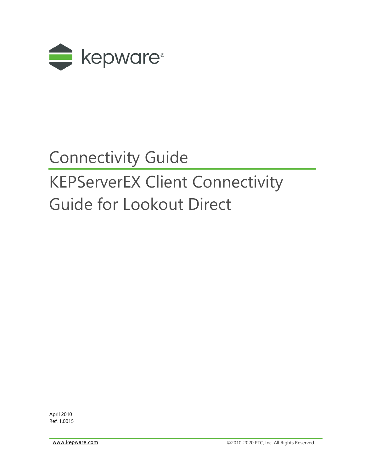

## Connectivity Guide

# KEPServerEX Client Connectivity Guide for Lookout Direct

April 2010 Ref. 1.0015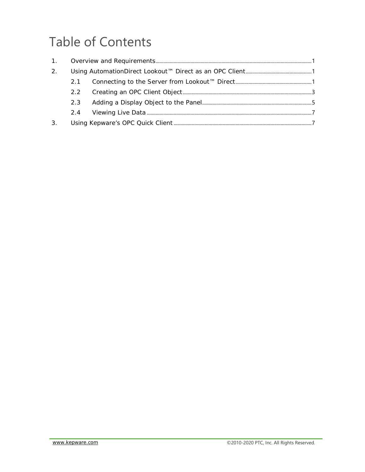## **Table of Contents**

| 2. |               |  |  |  |
|----|---------------|--|--|--|
|    | 2.1           |  |  |  |
|    | $2.2^{\circ}$ |  |  |  |
|    | 2.3           |  |  |  |
|    |               |  |  |  |
| 3. |               |  |  |  |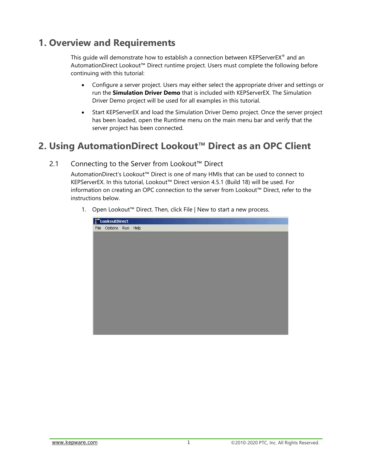### <span id="page-2-0"></span>**1. Overview and Requirements**

This quide will demonstrate how to establish a connection between KEPServerEX® and an AutomationDirect Lookout™ Direct runtime project. Users must complete the following before continuing with this tutorial:

- Configure a server project. Users may either select the appropriate driver and settings or run the **Simulation Driver Demo** that is included with KEPServerEX. The Simulation Driver Demo project will be used for all examples in this tutorial.
- Start KEPServerEX and load the Simulation Driver Demo project. Once the server project has been loaded, open the Runtime menu on the main menu bar and verify that the server project has been connected.

### <span id="page-2-1"></span>**2. Using AutomationDirect Lookout™ Direct as an OPC Client**

#### <span id="page-2-2"></span>2.1 Connecting to the Server from Lookout™ Direct

AutomationDirect's Lookout™ Direct is one of many HMIs that can be used to connect to KEPServerEX. In this tutorial, Lookout™ Direct version 4.5.1 (Build 18) will be used. For information on creating an OPC connection to the server from Lookout™ Direct, refer to the instructions below.

1. Open Lookout™ Direct. Then, click File | New to start a new process.

| $\Box$ LookoutDirect  |  |  |  |  |  |
|-----------------------|--|--|--|--|--|
| File Options Run Help |  |  |  |  |  |
|                       |  |  |  |  |  |
|                       |  |  |  |  |  |
|                       |  |  |  |  |  |
|                       |  |  |  |  |  |
|                       |  |  |  |  |  |
|                       |  |  |  |  |  |
|                       |  |  |  |  |  |
|                       |  |  |  |  |  |
|                       |  |  |  |  |  |
|                       |  |  |  |  |  |
|                       |  |  |  |  |  |
|                       |  |  |  |  |  |
|                       |  |  |  |  |  |
|                       |  |  |  |  |  |
|                       |  |  |  |  |  |
|                       |  |  |  |  |  |
|                       |  |  |  |  |  |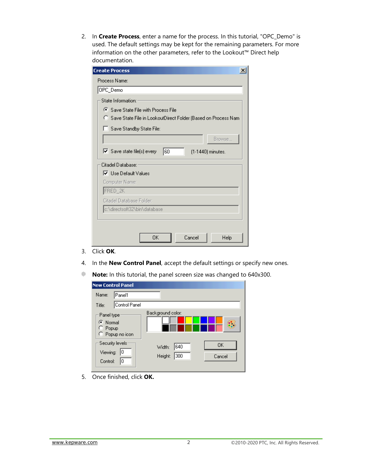2. In **Create Process**, enter a name for the process. In this tutorial, "OPC\_Demo" is used. The default settings may be kept for the remaining parameters. For more information on the other parameters, refer to the Lookout™ Direct help documentation.

| <b>Create Process</b>                                                |
|----------------------------------------------------------------------|
| Process Name:                                                        |
| OPC_Demo                                                             |
| State Information:                                                   |
| <b>G</b> Save State File with Process File                           |
| C Save State File in LookoutDirect Folder (Based on Process Nam      |
| Save Standby State File:                                             |
| Browse                                                               |
| $\triangledown$ Save state file(s) every<br>160<br>[1-1440] minutes. |
| Citadel Database:                                                    |
| <b>▽</b> Use Default Values                                          |
| Computer Name:                                                       |
| FRED_2K                                                              |
| Citadel Database Folder:                                             |
| c:\directsoft32\bin\database                                         |
|                                                                      |
|                                                                      |
| OΚ<br>Cancel<br>Help                                                 |

- 3. Click **OK**.
- 4. In the **New Control Panel**, accept the default settings or specify new ones.
- **Note:** In this tutorial, the panel screen size was changed to 640x300.

| <b>New Control Panel</b>                            |                                                 |  |  |  |  |
|-----------------------------------------------------|-------------------------------------------------|--|--|--|--|
| Name:<br>lPanel1                                    |                                                 |  |  |  |  |
| Control Panel<br>Title:                             |                                                 |  |  |  |  |
| Panel type:<br>C Normal<br>Popup<br>C Popup no icon | Background color:                               |  |  |  |  |
| Security levels<br>Viewing:<br>10<br>Control:<br>10 | 0K<br>640<br>Width:<br>300<br>Height:<br>Cancel |  |  |  |  |

5. Once finished, click **OK.**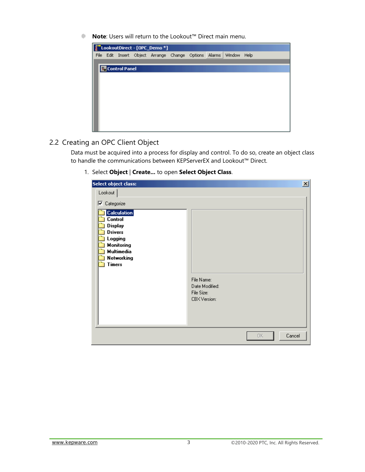**Note**: Users will return to the Lookout™ Direct main menu.



#### <span id="page-4-0"></span>2.2 Creating an OPC Client Object

Data must be acquired into a process for display and control. To do so, create an object class to handle the communications between KEPServerEX and Lookout™ Direct.

1. Select **Object** | **Create...** to open **Select Object Class**.

| Select object class:                                                                                                                                                         | 즤                                                          |
|------------------------------------------------------------------------------------------------------------------------------------------------------------------------------|------------------------------------------------------------|
| Lookout                                                                                                                                                                      |                                                            |
| <b>▽</b> Categorize<br><b>Calculation</b><br><b>Control</b><br><b>Display</b><br><b>Drivers</b><br>Logging<br><b>Monitoring</b><br><b>Multimedia</b><br>Networking<br>Timers | File Name:<br>Date Modified:<br>File Size:<br>CBX Version: |
|                                                                                                                                                                              | Cancel<br>ОK.                                              |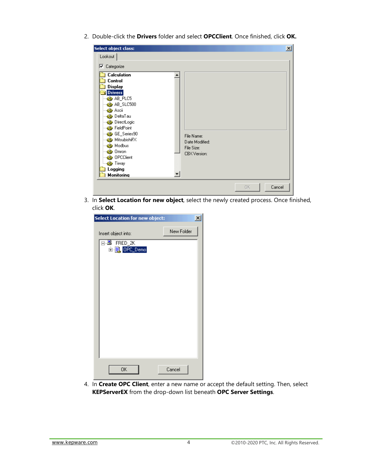2. Double-click the **Drivers** folder and select **OPCClient**. Once finished, click **OK.**

| Select object class:                                                                                                                                                                                                                                                                                                                                            |                                                            |              | $\vert x \vert$ |
|-----------------------------------------------------------------------------------------------------------------------------------------------------------------------------------------------------------------------------------------------------------------------------------------------------------------------------------------------------------------|------------------------------------------------------------|--------------|-----------------|
| Lookout                                                                                                                                                                                                                                                                                                                                                         |                                                            |              |                 |
| $\nabla$ Categorize                                                                                                                                                                                                                                                                                                                                             |                                                            |              |                 |
| <b>Calculation</b><br>Control<br>Display<br><b>Drivers</b><br>SAB_PLC5<br><b>BB</b> AB_SLC500<br>⊶ <mark>e∯e</mark> Ascii<br>… <mark>∉</mark> ∯ DeltaTau<br><b>・3 DirectLogic</b><br>··· Sig FieldPoint<br>⊶∰e GE_Series90<br>Sta MitsubishiFX<br>⊶ <mark>∰</mark> ≱ Modbus<br>- See Omron<br>⊶∰e OPCClient<br>ं <mark>⊰∯</mark> Tiway<br>Logging<br>Monitoring | File Name:<br>Date Modified:<br>File Size:<br>CBX Version: |              |                 |
|                                                                                                                                                                                                                                                                                                                                                                 |                                                            | 0K<br>Cancel |                 |

3. In **Select Location for new object**, select the newly created process. Once finished, click **OK**.

| Select Location for new object:        |            | $\overline{\mathbf{x}}$ |
|----------------------------------------|------------|-------------------------|
| Insert object into:                    | New Folder |                         |
| ⊟ FRED_2K<br>由 <mark>員</mark> OPC_Demo |            |                         |
| 0K                                     | Cancel     |                         |

4. In **Create OPC Client**, enter a new name or accept the default setting. Then, select **KEPServerEX** from the drop-down list beneath **OPC Server Settings**.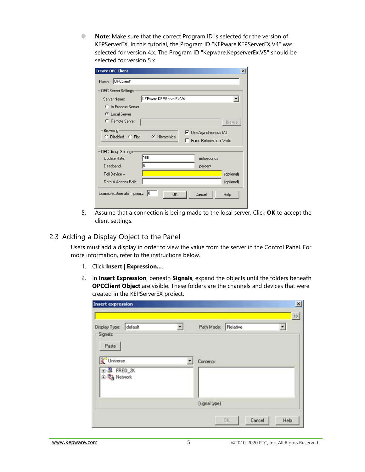**Note**: Make sure that the correct Program ID is selected for the version of ۰ KEPServerEX. In this tutorial, the Program ID "KEPware.KEPServerEX.V4" was selected for version 4.x. The Program ID "Kepware.KepserverEx.V5" should be selected for version 5.x.

| <b>Create OPC Client</b>      |                           |                                                            | $\vert x \vert$ |
|-------------------------------|---------------------------|------------------------------------------------------------|-----------------|
| OPCclient1<br>Name:           |                           |                                                            |                 |
| <b>OPC</b> Server Settings    |                           |                                                            |                 |
| Server Name:                  | KEPware.KEPServerEx.V4    |                                                            |                 |
| C In-Process Server           |                           |                                                            |                 |
| C Local Server                |                           |                                                            |                 |
| C Remote Server               |                           |                                                            | <b>Browse</b>   |
| Browsing<br>C Disabled C Flat | $\mathbf{F}$ Hierarchical | <b>▽</b> Use Asynchronous I/O<br>Force Refresh after Write |                 |
| <b>OPC Group Settings</b>     |                           |                                                            |                 |
| Update Rate:                  | 100                       | milliseconds                                               |                 |
| Deadband:                     | 0                         | percent                                                    |                 |
| Poll Device =                 |                           |                                                            | (optional)      |
| Default Access Path:          |                           |                                                            | (optional)      |
| Communication alarm priority: | 18<br>0K                  | Cancel                                                     | Help            |

5. Assume that a connection is being made to the local server. Click **OK** to accept the client settings.

#### <span id="page-6-0"></span>2.3 Adding a Display Object to the Panel

Users must add a display in order to view the value from the server in the Control Panel. For more information, refer to the instructions below.

- 1. Click **Insert** | **Expression...**.
- 2. In **Insert Expression**, beneath **Signals**, expand the objects until the folders beneath **OPCClient Object** are visible. These folders are the channels and devices that were created in the KEPServerEX project.

| Display Type: default                        | Path Mode: Relative | $\rightarrow$ |
|----------------------------------------------|---------------------|---------------|
| Signals:<br>Paste<br>Universe<br>图 S FRED_2K | Contents:           |               |
| 由 23 Network                                 | (signal type)       |               |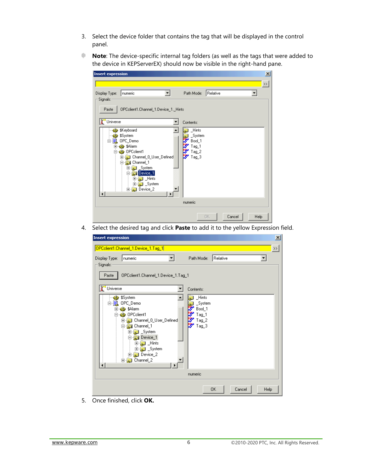- 3. Select the device folder that contains the tag that will be displayed in the control panel.
- **Note**: The device-specific internal tag folders (as well as the tags that were added to the device in KEPServerEX) should now be visible in the right-hand pane.

| <b>Insert expression</b>                                                                                                                                                                                                              | $\mathbf{x}$                                                           |
|---------------------------------------------------------------------------------------------------------------------------------------------------------------------------------------------------------------------------------------|------------------------------------------------------------------------|
|                                                                                                                                                                                                                                       | $\rightarrow$                                                          |
| Display Type:<br>numeric                                                                                                                                                                                                              | Relative<br>Path Mode:                                                 |
| Signals:<br>OPCclient1.Channel_1.Device_1._Hints<br>Paste                                                                                                                                                                             |                                                                        |
| <b>F</b> Universe                                                                                                                                                                                                                     | Contents:                                                              |
| <b>S</b> \$Keyboard<br>\$P \$System<br>■ OPC_Demo<br>由·89 \$Alarm<br>白·鼎 OPCclient1<br><b>E</b> Channel O_User_Defined<br>Channel_1<br>Ėŀ<br><b>Budget</b> System<br>田<br>Device_1<br>F<br>中 <b>。</b> Hints<br>由 3ystem<br>由 Device_2 | <b>Hints</b><br>System<br>Bool_1<br>$Taq_1$<br>Tag_2<br>щψ.<br>$Taq_3$ |
|                                                                                                                                                                                                                                       | numeric                                                                |
|                                                                                                                                                                                                                                       | OΚ.<br>Cancel<br>Help                                                  |

4. Select the desired tag and click **Paste** to add it to the yellow Expression field.

| <b>Insert expression</b>  |                                                                                                                                                                                                                           |                                                             |          |        | $\mathbf{x}$  |
|---------------------------|---------------------------------------------------------------------------------------------------------------------------------------------------------------------------------------------------------------------------|-------------------------------------------------------------|----------|--------|---------------|
|                           | OPCclient1.Channel_1.Device_1.Tag_1                                                                                                                                                                                       |                                                             |          |        | $\rightarrow$ |
| Display Type:<br>Signals: | numeric                                                                                                                                                                                                                   | Path Mode:                                                  | Relative |        |               |
| Paste                     | OPCclient1.Channel_1.Device_1.Tag_1                                                                                                                                                                                       |                                                             |          |        |               |
| đ<br>Universe             |                                                                                                                                                                                                                           | Contents:                                                   |          |        |               |
|                           | <b>S</b> \$System<br>OPC_Demo<br>由·8 \$Alarm<br>白·89 OPCclient1<br>由 Channel 0_User_Defined<br>白 <b>品</b> Channel 1<br>System<br>匣<br>Device_1<br>由 <b>L</b> Hints<br>由 <b>L</b> System<br>由 Device_2<br>由 Channel_2<br>٠ | Hints<br>System<br>Bool_1<br>Tag_1<br>$Taq_2$<br>Ŵ<br>Tag_3 |          |        |               |
|                           |                                                                                                                                                                                                                           | numeric                                                     |          |        |               |
|                           |                                                                                                                                                                                                                           |                                                             | 0K       | Cancel | Help          |

5. Once finished, click **OK.**